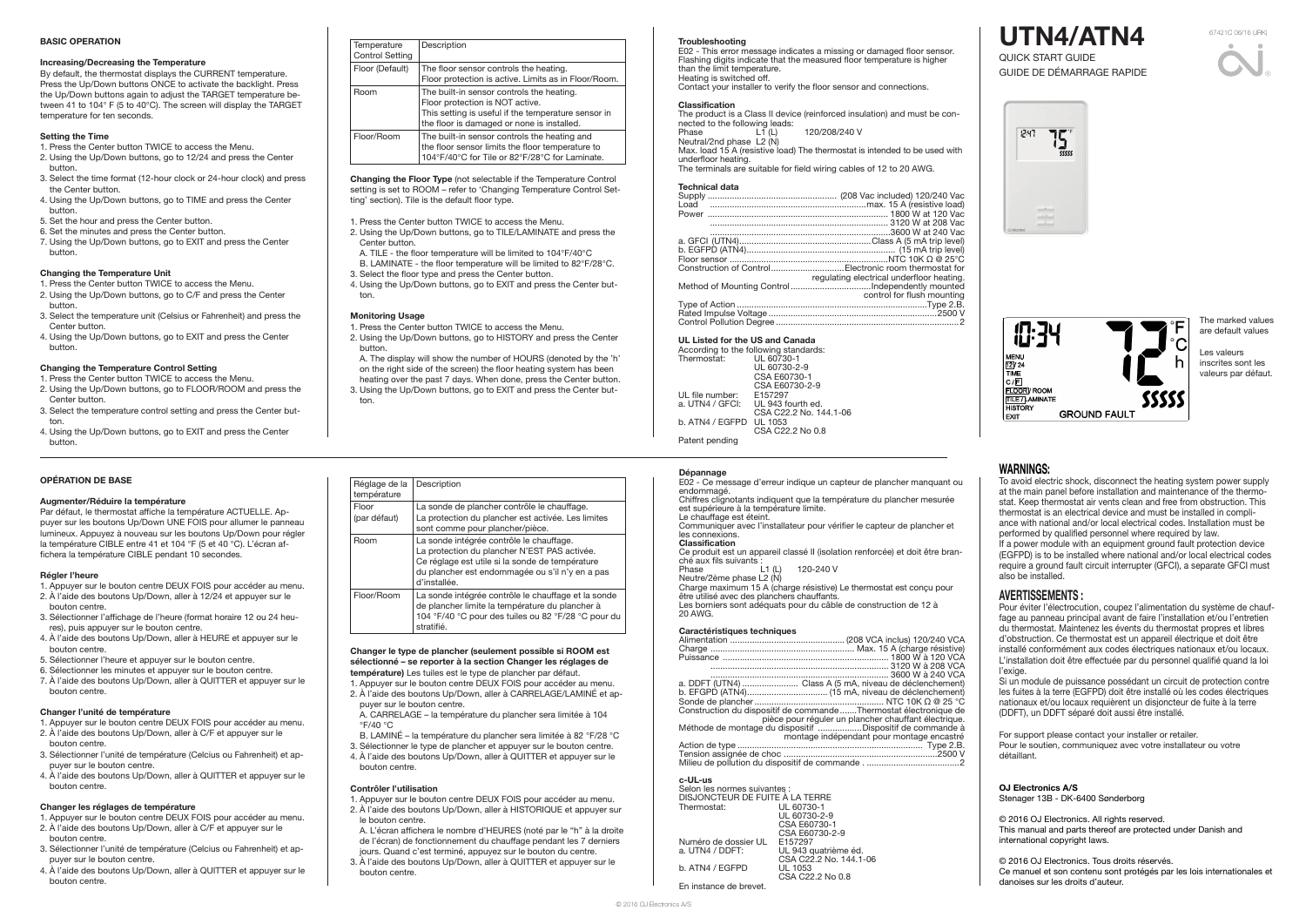#### Troubleshooting

E02 - This error message indicates a missing or damaged floor sensor. Flashing digits indicate that the measured floor temperature is higher than the limit temperature. Heating is switched off.

The product is a Class II device (reinforced insulation) and must be connected to the following leads:<br>Phase L1 (L) 120/208/240 V

Contact your installer to verify the floor sensor and connections.

#### **Classification**

Max. load 15 A (resistive load) The thermostat is intended to be used with underfloor heating.

Neutral/2nd phase L2 (N)

The terminals are suitable for field wiring cables of 12 to 20 AWG.

#### Technical data

Ce produit est un appareil classé II (isolation renforcée) et doit être branché aux fils suivants :<br>Phase [1] (L)

120-240 V

| Construction of ControlElectronic room thermostat for |
|-------------------------------------------------------|
| regulating electrical underfloor heating.             |
|                                                       |
| control for flush mounting                            |
|                                                       |
|                                                       |
|                                                       |
|                                                       |

# UL Listed for the US and Canada

|                 | According to the following standards: |
|-----------------|---------------------------------------|
| Thermostat:     | UL 60730-1                            |
|                 | UL 60730-2-9                          |
|                 | CSA E60730-1                          |
|                 | CSA E60730-2-9                        |
| UL file number: | F157297                               |
| a. UTN4 / GFCI: | UL 943 fourth ed.                     |
|                 | CSA C22.2 No. 144.1-06                |
| b. ATN4 / EGFPD | UL 1053                               |
|                 | CSA C22.2 No 0.8                      |
| Patent pending  |                                       |

#### Dépannage

E02 - Ce message d'erreur indique un capteur de plancher manquant ou endommagé. Chiffres clignotants indiquent que la température du plancher mesurée est supérieure à la température limite. Le chauffage est éteint. Communiquer avec l'installateur pour vérifier le capteur de plancher et

By default, the thermostat displays the CURRENT temperature. Press the Up/Down buttons ONCE to activate the backlight. Press the Up/Down buttons again to adjust the TARGET temperature between 41 to 104° F (5 to 40°C). The screen will display the TARGET temperature for ten seconds.

#### les connexions. Classification

Neutre/2ème phase L2 (N)

Charge maximum 15 A (charge résistive) Le thermostat est conçu pour

- être utilisé avec des planchers chauffants. Les borniers sont adéquats pour du câble de construction de 12 à
- 20 AWG.

### Caractéristiques techniques

| a. DDFT (UTN4)  Class A (5 mA, niveau de déclenchement)           |
|-------------------------------------------------------------------|
|                                                                   |
|                                                                   |
| Construction du dispositif de commande Thermostat électronique de |
| pièce pour réguler un plancher chauffant électrique.              |
| Méthode de montage du dispositif Dispositif de commande à         |
| montage indépendant pour montage encastré                         |
|                                                                   |
|                                                                   |
|                                                                   |
|                                                                   |
|                                                                   |

# c-UL-us

| Selon les normes suivantes :<br>DISJONCTEUR DE FUITE A LA TERRE |                        |
|-----------------------------------------------------------------|------------------------|
| Thermostat:                                                     | UL 60730-1             |
|                                                                 | UL 60730-2-9           |
|                                                                 | CSA E60730-1           |
|                                                                 | CSA E60730-2-9         |
| Numéro de dossier UL                                            | E157297                |
| a. UTN4 / DDFT:                                                 | UL 943 quatrième éd.   |
|                                                                 | CSA C22.2 No. 144.1-06 |
| b. ATN4 / EGFPD                                                 | UL 1053                |
|                                                                 | CSA C22.2 No 0.8       |
| En instance de brevet                                           |                        |

Pour éviter l'électrocution, coupez l'alimentation du système de chauffage au panneau principal avant de faire l'installation et/ou l'entretien du thermostat. Maintenez les évents du thermostat propres et libres d'obstruction. Ce thermostat est un appareil électrique et doit être installé conformément aux codes électriques nationaux et/ou locaux. L'installation doit être effectuée par du personnel qualifié quand la loi l'exige.

# BASIC OPERATION

# Increasing/Decreasing the Temperature

#### Setting the Time

- 1. Press the Center button TWICE to access the Menu.
- 2. Using the Up/Down buttons, go to 12/24 and press the Center button.
- 3. Select the time format (12-hour clock or 24-hour clock) and press the Center button.
- 4. Using the Up/Down buttons, go to TIME and press the Center button.
- 5. Set the hour and press the Center button.
- 6. Set the minutes and press the Center button.
- 7. Using the Up/Down buttons, go to EXIT and press the Center button.

#### Changing the Temperature Unit

- 1. Press the Center button TWICE to access the Menu. 2. Using the Up/Down buttons, go to C/F and press the Center
- button. 3. Select the temperature unit (Celsius or Fahrenheit) and press the Center button.
- 4. Using the Up/Down buttons, go to EXIT and press the Center button.

#### Changing the Temperature Control Setting

- 1. Press the Center button TWICE to access the Menu.
- 2. Using the Up/Down buttons, go to FLOOR/ROOM and press the Center button.
- 3. Select the temperature control setting and press the Center button.
- 4. Using the Up/Down buttons, go to EXIT and press the Center button.

#### OPÉRATION DE BASE

# Augmenter/Réduire la température

Par défaut, le thermostat affiche la température ACTUELLE. Appuyer sur les boutons Up/Down UNE FOIS pour allumer le panneau lumineux. Appuyez à nouveau sur les boutons Up/Down pour régler la température CIBLE entre 41 et 104 °F (5 et 40 °C). L'écran affichera la température CIBLE pendant 10 secondes.

#### Régler l'heure

- 1. Appuyer sur le bouton centre DEUX FOIS pour accéder au menu. 2. À l'aide des boutons Up/Down, aller à 12/24 et appuyer sur le
- bouton centre. 3. Sélectionner l'affichage de l'heure (format horaire 12 ou 24 heures), puis appuyer sur le bouton centre.
- 4. À l'aide des boutons Up/Down, aller à HEURE et appuyer sur le bouton centre.
- 5. Sélectionner l'heure et appuyer sur le bouton centre.
- 6. Sélectionner les minutes et appuyer sur le bouton centre.
- 7. À l'aide des boutons Up/Down, aller à QUITTER et appuyer sur le bouton centre.

#### Changer l'unité de température

- 1. Appuyer sur le bouton centre DEUX FOIS pour accéder au menu. 2. À l'aide des boutons Up/Down, aller à C/F et appuyer sur le
- bouton centre.
- 3. Sélectionner l'unité de température (Celcius ou Fahrenheit) et appuyer sur le bouton centre.
- 4. À l'aide des boutons Up/Down, aller à QUITTER et appuyer sur le bouton centre.

#### Changer les réglages de température

- 1. Appuyer sur le bouton centre DEUX FOIS pour accéder au menu.
- 2. À l'aide des boutons Up/Down, aller à C/F et appuyer sur le bouton centre.
- 3. Sélectionner l'unité de température (Celcius ou Fahrenheit) et appuyer sur le bouton centre.
- 4. À l'aide des boutons Up/Down, aller à QUITTER et appuyer sur le bouton centre.

| Réglage de la<br>température | Description                                                                                                                                                                                                    |
|------------------------------|----------------------------------------------------------------------------------------------------------------------------------------------------------------------------------------------------------------|
| Floor<br>(par défaut)        | La sonde de plancher contrôle le chauffage.<br>La protection du plancher est activée. Les limites<br>sont comme pour plancher/pièce.                                                                           |
| Room                         | La sonde intégrée contrôle le chauffage.<br>La protection du plancher N'EST PAS activée.<br>Ce réglage est utile si la sonde de température<br>du plancher est endommagée ou s'il n'y en a pas<br>d'installée. |
| Floor/Room                   | La sonde intégrée contrôle le chauffage et la sonde<br>de plancher limite la température du plancher à<br>104 °F/40 °C pour des tuiles ou 82 °F/28 °C pour du<br>stratifié.                                    |







# WARNINGS:

To avoid electric shock, disconnect the heating system power supply at the main panel before installation and maintenance of the thermostat. Keep thermostat air vents clean and free from obstruction. This thermostat is an electrical device and must be installed in compliance with national and/or local electrical codes. Installation must be performed by qualified personnel where required by law. If a power module with an equipment ground fault protection device (EGFPD) is to be installed where national and/or local electrical codes require a ground fault circuit interrupter (GFCI), a separate GFCI must also be installed.

# AVERTISSEMENTS :

Si un module de puissance possédant un circuit de protection contre les fuites à la terre (EGFPD) doit être installé où les codes électriques nationaux et/ou locaux requièrent un disjoncteur de fuite à la terre (DDFT), un DDFT séparé doit aussi être installé.

For support please contact your installer or retailer. Pour le soutien, communiquez avec votre installateur ou votre détaillant.

OJ Electronics A/S Stenager 13B - DK-6400 Sønderborg

© 2016 OJ Electronics. All rights reserved. This manual and parts thereof are protected under Danish and international copyright laws.

© 2016 OJ Electronics. Tous droits réservés. Ce manuel et son contenu sont protégés par les lois internationales et danoises sur les droits d'auteur.

# UTN4/ATN4

QUICK START GUIDE GUIDE DE DÉMARRAGE RAPIDE

Changing the Floor Type (not selectable if the Temperature Control setting is set to ROOM – refer to 'Changing Temperature Control Setting' section). Tile is the default floor type.

- 1. Press the Center button TWICE to access the Menu.
- 2. Using the Up/Down buttons, go to TILE/LAMINATE and press the Center button.
- A. TILE the floor temperature will be limited to 104°F/40°C
- B. LAMINATE the floor temperature will be limited to 82°F/28°C.
- 3. Select the floor type and press the Center button.
- 4. Using the Up/Down buttons, go to EXIT and press the Center button.

# Monitoring Usage

- 1. Press the Center button TWICE to access the Menu.
- 2. Using the Up/Down buttons, go to HISTORY and press the Center button.
- A. The display will show the number of HOURS (denoted by the 'h' on the right side of the screen) the floor heating system has been heating over the past 7 days. When done, press the Center button.
- 3. Using the Up/Down buttons, go to EXIT and press the Center button.

| Temperature<br><b>Control Setting</b> | Description                                                                                                                                                                       |
|---------------------------------------|-----------------------------------------------------------------------------------------------------------------------------------------------------------------------------------|
| Floor (Default)                       | The floor sensor controls the heating.<br>Floor protection is active. Limits as in Floor/Room.                                                                                    |
| <b>Room</b>                           | The built-in sensor controls the heating.<br>Floor protection is NOT active.<br>This setting is useful if the temperature sensor in<br>the floor is damaged or none is installed. |
| Floor/Room                            | The built-in sensor controls the heating and<br>the floor sensor limits the floor temperature to<br>104°F/40°C for Tile or 82°F/28°C for Laminate.                                |

#### Changer le type de plancher (seulement possible si ROOM est sélectionné – se reporter à la section Changer les réglages de température) Les tuiles est le type de plancher par défaut.

- 1. Appuyer sur le bouton centre DEUX FOIS pour accéder au menu.
- 2. À l'aide des boutons Up/Down, aller à CARRELAGE/LAMINÉ et appuyer sur le bouton centre. A. CARRELAGE – la température du plancher sera limitée à 104
- $\degree$ F/40  $\degree$ C B. LAMINÉ – la température du plancher sera limitée à 82 °F/28 °C
- 3. Sélectionner le type de plancher et appuyer sur le bouton centre.
- 4. À l'aide des boutons Up/Down, aller à QUITTER et appuyer sur le
- bouton centre.

# Contrôler l'utilisation

- 1. Appuyer sur le bouton centre DEUX FOIS pour accéder au menu.
- 2. À l'aide des boutons Up/Down, aller à HISTORIQUE et appuyer sur le bouton centre.
- A. L'écran affichera le nombre d'HEURES (noté par le "h" à la droite de l'écran) de fonctionnement du chauffage pendant les 7 derniers
- jours. Quand c'est terminé, appuyez sur le bouton du centre. 3. À l'aide des boutons Up/Down, aller à QUITTER et appuyer sur le bouton centre.

The marked values are default values

Les valeurs inscrites sont les valeurs par défaut.